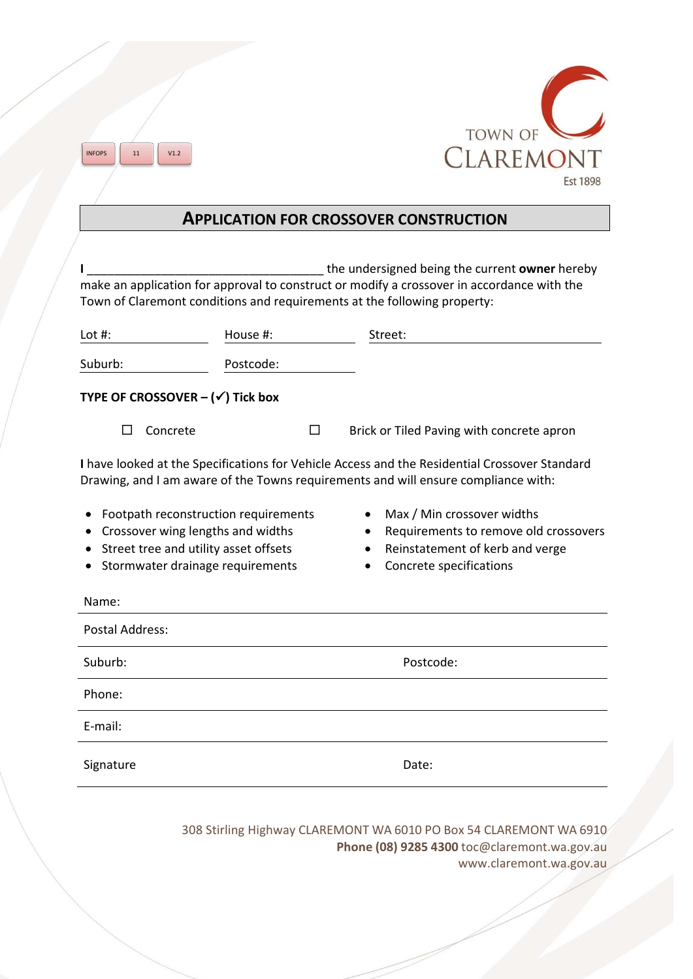



## **APPLICATION FOR CROSSOVER CONSTRUCTION**

If the undersigned being the current **owner** hereby make an application for approval to construct or modify a crossover in accordance with the Town of Claremont conditions and requirements at the following property:

| Lot $#$ :                                                                                                                                                                           | House #:  |   | Street:                                                                                                                           |
|-------------------------------------------------------------------------------------------------------------------------------------------------------------------------------------|-----------|---|-----------------------------------------------------------------------------------------------------------------------------------|
| Suburb:                                                                                                                                                                             | Postcode: |   |                                                                                                                                   |
| TYPE OF CROSSOVER $-(\checkmark)$ Tick box                                                                                                                                          |           |   |                                                                                                                                   |
| Concrete<br>$\Box$                                                                                                                                                                  |           | П | Brick or Tiled Paving with concrete apron                                                                                         |
| I have looked at the Specifications for Vehicle Access and the Residential Crossover Standard<br>Drawing, and I am aware of the Towns requirements and will ensure compliance with: |           |   |                                                                                                                                   |
| Footpath reconstruction requirements<br>Crossover wing lengths and widths<br>Street tree and utility asset offsets<br>Stormwater drainage requirements                              |           |   | Max / Min crossover widths<br>Requirements to remove old crossovers<br>Reinstatement of kerb and verge<br>Concrete specifications |
| Name:                                                                                                                                                                               |           |   |                                                                                                                                   |
| <b>Postal Address:</b>                                                                                                                                                              |           |   |                                                                                                                                   |
| Suburb:                                                                                                                                                                             |           |   | Postcode:                                                                                                                         |
| Phone:                                                                                                                                                                              |           |   |                                                                                                                                   |
| E-mail:                                                                                                                                                                             |           |   |                                                                                                                                   |
| Signature                                                                                                                                                                           |           |   | Date:                                                                                                                             |
|                                                                                                                                                                                     |           |   |                                                                                                                                   |

308 Stirling Highway CLAREMONT WA 6010 PO Box 54 CLAREMONT WA 6910 **Phone (08) 9285 4300** toc@claremont.wa.gov.au www.claremont.wa.gov.au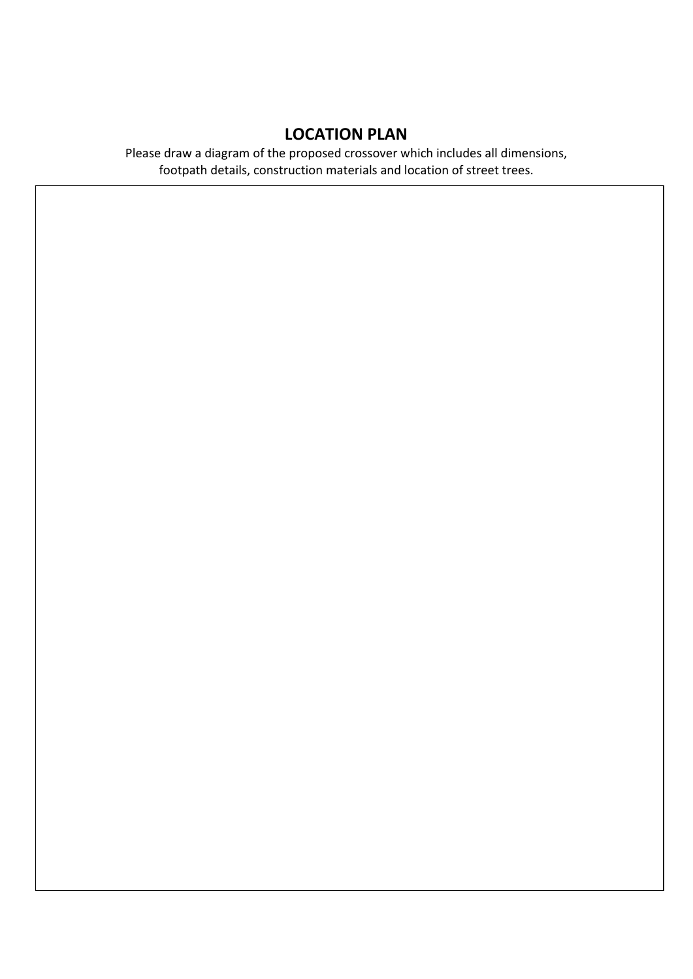# **LOCATION PLAN**

Please draw a diagram of the proposed crossover which includes all dimensions, footpath details, construction materials and location of street trees.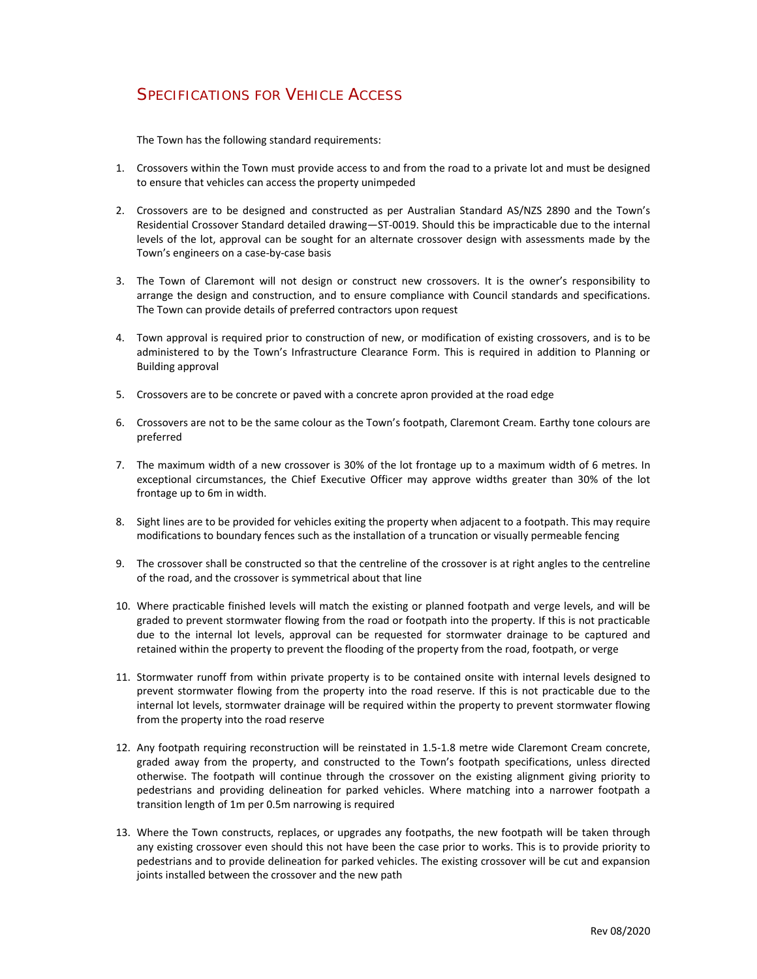## SPECIFICATIONS FOR VEHICLE ACCESS

The Town has the following standard requirements:

- 1. Crossovers within the Town must provide access to and from the road to a private lot and must be designed to ensure that vehicles can access the property unimpeded
- 2. Crossovers are to be designed and constructed as per Australian Standard AS/NZS 2890 and the Town's Residential Crossover Standard detailed drawing—ST‐0019. Should this be impracticable due to the internal levels of the lot, approval can be sought for an alternate crossover design with assessments made by the Town's engineers on a case‐by‐case basis
- 3. The Town of Claremont will not design or construct new crossovers. It is the owner's responsibility to arrange the design and construction, and to ensure compliance with Council standards and specifications. The Town can provide details of preferred contractors upon request
- 4. Town approval is required prior to construction of new, or modification of existing crossovers, and is to be administered to by the Town's Infrastructure Clearance Form. This is required in addition to Planning or Building approval
- 5. Crossovers are to be concrete or paved with a concrete apron provided at the road edge
- 6. Crossovers are not to be the same colour as the Town's footpath, Claremont Cream. Earthy tone colours are preferred
- 7. The maximum width of a new crossover is 30% of the lot frontage up to a maximum width of 6 metres. In exceptional circumstances, the Chief Executive Officer may approve widths greater than 30% of the lot frontage up to 6m in width.
- 8. Sight lines are to be provided for vehicles exiting the property when adjacent to a footpath. This may require modifications to boundary fences such as the installation of a truncation or visually permeable fencing
- 9. The crossover shall be constructed so that the centreline of the crossover is at right angles to the centreline of the road, and the crossover is symmetrical about that line
- 10. Where practicable finished levels will match the existing or planned footpath and verge levels, and will be graded to prevent stormwater flowing from the road or footpath into the property. If this is not practicable due to the internal lot levels, approval can be requested for stormwater drainage to be captured and retained within the property to prevent the flooding of the property from the road, footpath, or verge
- 11. Stormwater runoff from within private property is to be contained onsite with internal levels designed to prevent stormwater flowing from the property into the road reserve. If this is not practicable due to the internal lot levels, stormwater drainage will be required within the property to prevent stormwater flowing from the property into the road reserve
- 12. Any footpath requiring reconstruction will be reinstated in 1.5‐1.8 metre wide Claremont Cream concrete, graded away from the property, and constructed to the Town's footpath specifications, unless directed otherwise. The footpath will continue through the crossover on the existing alignment giving priority to pedestrians and providing delineation for parked vehicles. Where matching into a narrower footpath a transition length of 1m per 0.5m narrowing is required
- 13. Where the Town constructs, replaces, or upgrades any footpaths, the new footpath will be taken through any existing crossover even should this not have been the case prior to works. This is to provide priority to pedestrians and to provide delineation for parked vehicles. The existing crossover will be cut and expansion joints installed between the crossover and the new path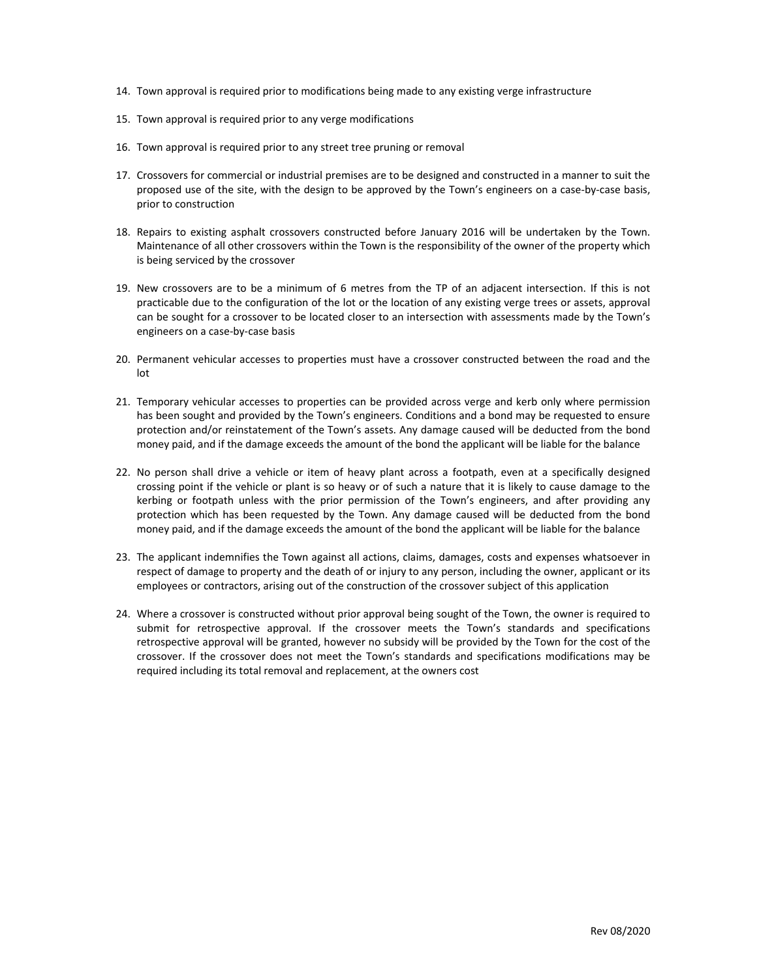- 14. Town approval is required prior to modifications being made to any existing verge infrastructure
- 15. Town approval is required prior to any verge modifications
- 16. Town approval is required prior to any street tree pruning or removal
- 17. Crossovers for commercial or industrial premises are to be designed and constructed in a manner to suit the proposed use of the site, with the design to be approved by the Town's engineers on a case‐by‐case basis, prior to construction
- 18. Repairs to existing asphalt crossovers constructed before January 2016 will be undertaken by the Town. Maintenance of all other crossovers within the Town is the responsibility of the owner of the property which is being serviced by the crossover
- 19. New crossovers are to be a minimum of 6 metres from the TP of an adjacent intersection. If this is not practicable due to the configuration of the lot or the location of any existing verge trees or assets, approval can be sought for a crossover to be located closer to an intersection with assessments made by the Town's engineers on a case‐by‐case basis
- 20. Permanent vehicular accesses to properties must have a crossover constructed between the road and the lot
- 21. Temporary vehicular accesses to properties can be provided across verge and kerb only where permission has been sought and provided by the Town's engineers. Conditions and a bond may be requested to ensure protection and/or reinstatement of the Town's assets. Any damage caused will be deducted from the bond money paid, and if the damage exceeds the amount of the bond the applicant will be liable for the balance
- 22. No person shall drive a vehicle or item of heavy plant across a footpath, even at a specifically designed crossing point if the vehicle or plant is so heavy or of such a nature that it is likely to cause damage to the kerbing or footpath unless with the prior permission of the Town's engineers, and after providing any protection which has been requested by the Town. Any damage caused will be deducted from the bond money paid, and if the damage exceeds the amount of the bond the applicant will be liable for the balance
- 23. The applicant indemnifies the Town against all actions, claims, damages, costs and expenses whatsoever in respect of damage to property and the death of or injury to any person, including the owner, applicant or its employees or contractors, arising out of the construction of the crossover subject of this application
- 24. Where a crossover is constructed without prior approval being sought of the Town, the owner is required to submit for retrospective approval. If the crossover meets the Town's standards and specifications retrospective approval will be granted, however no subsidy will be provided by the Town for the cost of the crossover. If the crossover does not meet the Town's standards and specifications modifications may be required including its total removal and replacement, at the owners cost